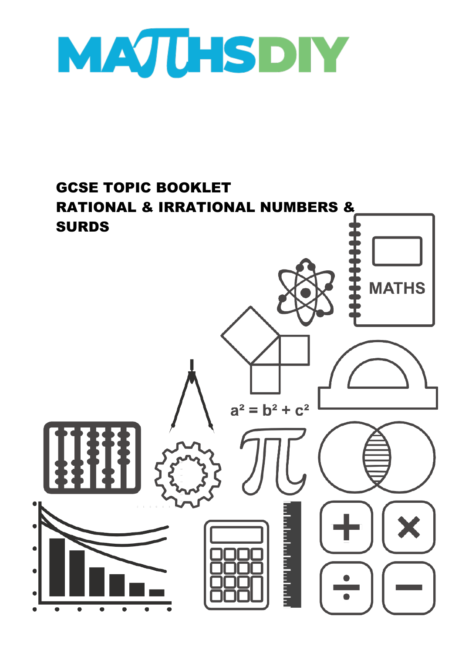

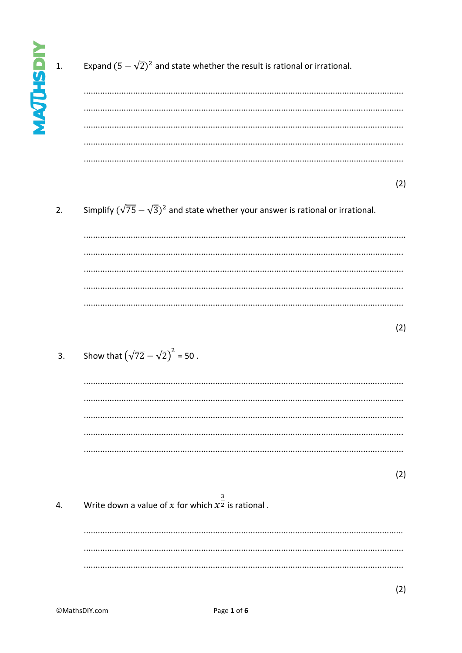$\overline{1}$ .

Expand  $(5 - \sqrt{2})^2$  and state whether the result is rational or irrational.

 $(2)$ 

Simplify  $(\sqrt{75}-\sqrt{3})^2$  and state whether your answer is rational or irrational.  $\overline{2}$ .

 $(2)$ 

Show that  $(\sqrt{72} - \sqrt{2})^2 = 50$ .  $\overline{3}$ .

> > $(2)$

 $(2)$ 

Write down a value of x for which  $x^{\frac{3}{2}}$  is rational.  $\overline{4}$ .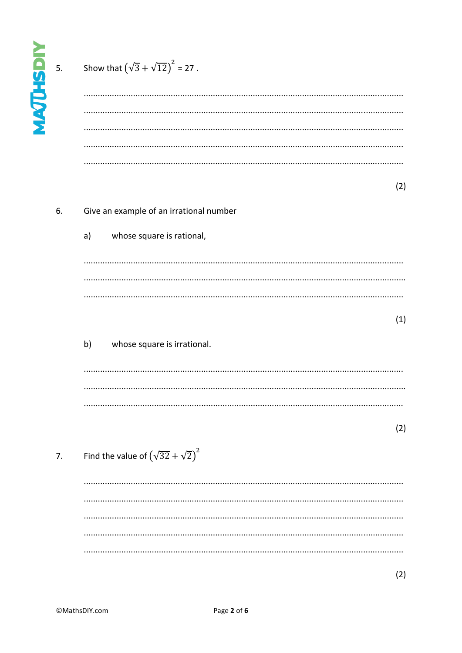| <b>MAJUHSDIY</b> | 5. | Show that $(\sqrt{3} + \sqrt{12})^2 = 27$ .    |
|------------------|----|------------------------------------------------|
|                  | 6. | (2)<br>Give an example of an irrational number |
|                  |    | whose square is rational,<br>a)                |
|                  |    |                                                |
|                  |    |                                                |
|                  |    | (1)                                            |
|                  |    | b)<br>whose square is irrational.              |
|                  |    |                                                |
|                  |    | (2)                                            |
|                  | 7. | Find the value of $(\sqrt{32} + \sqrt{2})^2$   |
|                  |    |                                                |
|                  |    |                                                |
|                  |    |                                                |
|                  |    |                                                |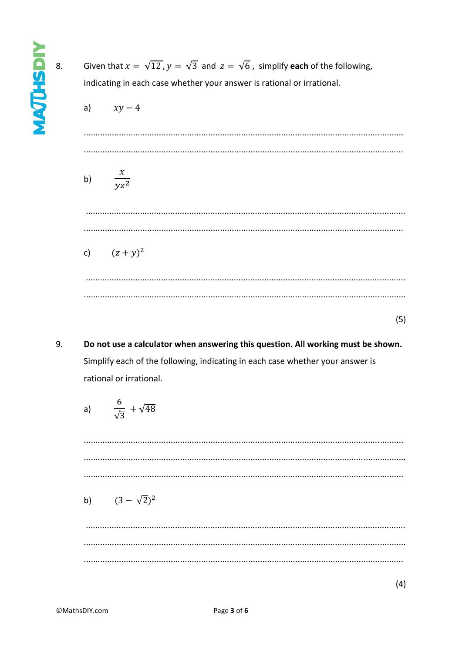**NATUSHTM** 

| Given that $x = \sqrt{12}$ , $y = \sqrt{3}$ and $z = \sqrt{6}$ , simplify each of the following,<br>indicating in each case whether your answer is rational or irrational. |  |  |
|----------------------------------------------------------------------------------------------------------------------------------------------------------------------------|--|--|
| a) $xy-4$                                                                                                                                                                  |  |  |
|                                                                                                                                                                            |  |  |
| $rac{x}{yz^2}$<br>b)                                                                                                                                                       |  |  |
|                                                                                                                                                                            |  |  |
| c) $(z + y)^2$                                                                                                                                                             |  |  |
|                                                                                                                                                                            |  |  |
| (5)                                                                                                                                                                        |  |  |

9. Do not use a calculator when answering this question. All working must be shown. Simplify each of the following, indicating in each case whether your answer is rational or irrational.

a) 
$$
\frac{6}{\sqrt{3}} + \sqrt{48}
$$
  
\n  
\nb)  $(3 - \sqrt{2})^2$ 

 $(4)$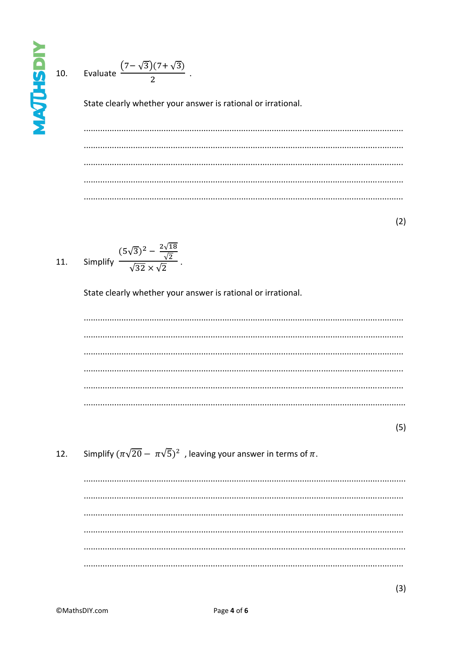$10.$ 



State clearly whether your answer is rational or irrational.

 $(2)$ 

Simplify  $\frac{(5\sqrt{3})^2 - \frac{2\sqrt{18}}{\sqrt{2}}}{\sqrt{2}}$ .  $11.$ 

State clearly whether your answer is rational or irrational.

 $(5)$ 

Simplify  $(\pi\sqrt{20} - \pi\sqrt{5})^2$ , leaving your answer in terms of  $\pi$ . 12.

 $(3)$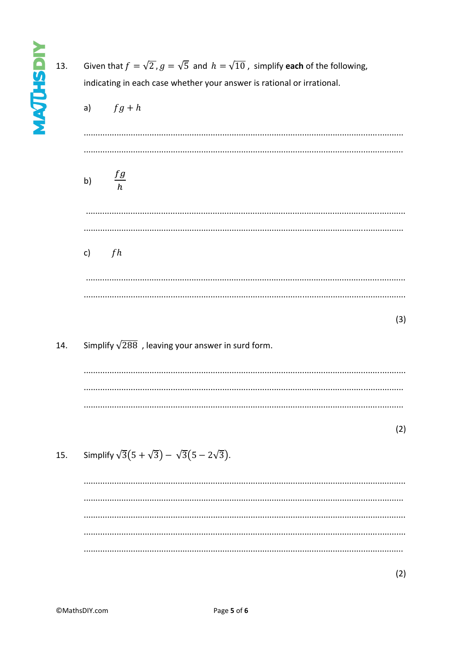| 13. | Given that $f = \sqrt{2}$ , $g = \sqrt{5}$ and $h = \sqrt{10}$ , simplify each of the following,<br>indicating in each case whether your answer is rational or irrational.<br>a) $fg + h$ |  |  |
|-----|-------------------------------------------------------------------------------------------------------------------------------------------------------------------------------------------|--|--|
|     | $\frac{fg}{h}$<br>b)                                                                                                                                                                      |  |  |
|     | c) $fh$                                                                                                                                                                                   |  |  |
|     | (3)                                                                                                                                                                                       |  |  |
| 14. | Simplify $\sqrt{288}$ , leaving your answer in surd form.                                                                                                                                 |  |  |
|     | (2)                                                                                                                                                                                       |  |  |
| 15. | Simplify $\sqrt{3}(5 + \sqrt{3}) - \sqrt{3}(5 - 2\sqrt{3}).$                                                                                                                              |  |  |
|     |                                                                                                                                                                                           |  |  |